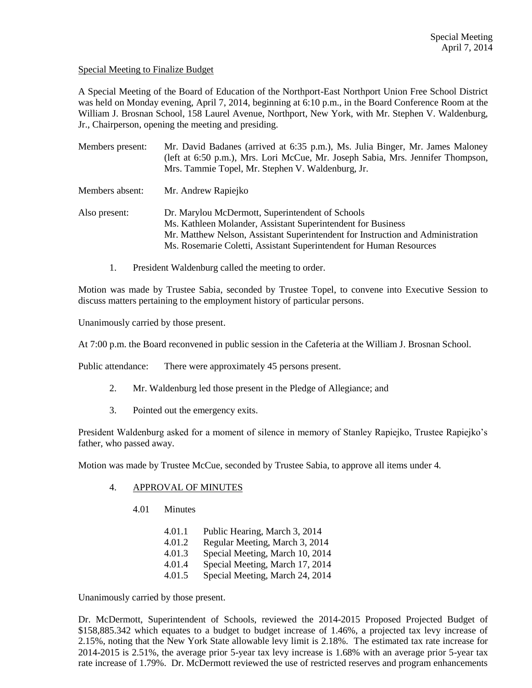#### Special Meeting to Finalize Budget

A Special Meeting of the Board of Education of the Northport-East Northport Union Free School District was held on Monday evening, April 7, 2014, beginning at 6:10 p.m., in the Board Conference Room at the William J. Brosnan School, 158 Laurel Avenue, Northport, New York, with Mr. Stephen V. Waldenburg, Jr., Chairperson, opening the meeting and presiding.

| Members present: | Mr. David Badanes (arrived at 6:35 p.m.), Ms. Julia Binger, Mr. James Maloney<br>(left at 6:50 p.m.), Mrs. Lori McCue, Mr. Joseph Sabia, Mrs. Jennifer Thompson,<br>Mrs. Tammie Topel, Mr. Stephen V. Waldenburg, Jr.                                                      |
|------------------|----------------------------------------------------------------------------------------------------------------------------------------------------------------------------------------------------------------------------------------------------------------------------|
| Members absent:  | Mr. Andrew Rapiejko                                                                                                                                                                                                                                                        |
| Also present:    | Dr. Marylou McDermott, Superintendent of Schools<br>Ms. Kathleen Molander, Assistant Superintendent for Business<br>Mr. Matthew Nelson, Assistant Superintendent for Instruction and Administration<br>Ms. Rosemarie Coletti, Assistant Superintendent for Human Resources |

1. President Waldenburg called the meeting to order.

Motion was made by Trustee Sabia, seconded by Trustee Topel, to convene into Executive Session to discuss matters pertaining to the employment history of particular persons.

Unanimously carried by those present.

At 7:00 p.m. the Board reconvened in public session in the Cafeteria at the William J. Brosnan School.

Public attendance: There were approximately 45 persons present.

- 2. Mr. Waldenburg led those present in the Pledge of Allegiance; and
- 3. Pointed out the emergency exits.

President Waldenburg asked for a moment of silence in memory of Stanley Rapiejko, Trustee Rapiejko's father, who passed away.

Motion was made by Trustee McCue, seconded by Trustee Sabia, to approve all items under 4.

#### 4. APPROVAL OF MINUTES

- 4.01 Minutes
	- 4.01.1 Public Hearing, March 3, 2014
	- 4.01.2 Regular Meeting, March 3, 2014
	- 4.01.3 Special Meeting, March 10, 2014
	- 4.01.4 Special Meeting, March 17, 2014
	- 4.01.5 Special Meeting, March 24, 2014

Unanimously carried by those present.

Dr. McDermott, Superintendent of Schools, reviewed the 2014-2015 Proposed Projected Budget of \$158,885.342 which equates to a budget to budget increase of 1.46%, a projected tax levy increase of 2.15%, noting that the New York State allowable levy limit is 2.18%. The estimated tax rate increase for 2014-2015 is 2.51%, the average prior 5-year tax levy increase is 1.68% with an average prior 5-year tax rate increase of 1.79%. Dr. McDermott reviewed the use of restricted reserves and program enhancements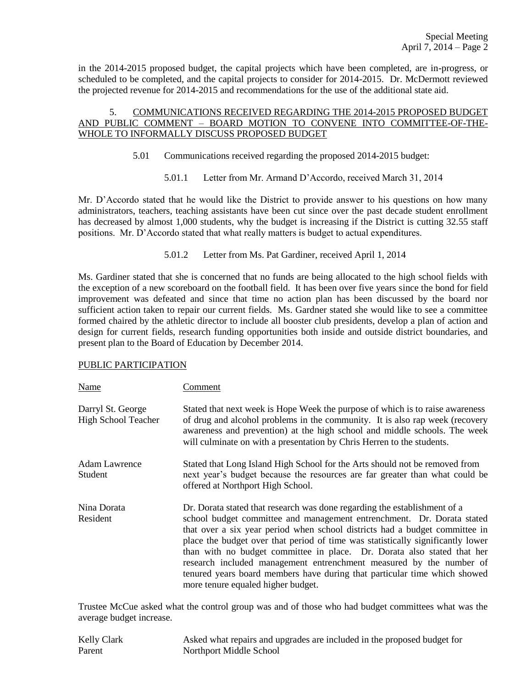in the 2014-2015 proposed budget, the capital projects which have been completed, are in-progress, or scheduled to be completed, and the capital projects to consider for 2014-2015. Dr. McDermott reviewed the projected revenue for 2014-2015 and recommendations for the use of the additional state aid.

# 5. COMMUNICATIONS RECEIVED REGARDING THE 2014-2015 PROPOSED BUDGET AND PUBLIC COMMENT – BOARD MOTION TO CONVENE INTO COMMITTEE-OF-THE-WHOLE TO INFORMALLY DISCUSS PROPOSED BUDGET

- 5.01 Communications received regarding the proposed 2014-2015 budget:
	- 5.01.1 Letter from Mr. Armand D'Accordo, received March 31, 2014

Mr. D'Accordo stated that he would like the District to provide answer to his questions on how many administrators, teachers, teaching assistants have been cut since over the past decade student enrollment has decreased by almost 1,000 students, why the budget is increasing if the District is cutting 32.55 staff positions. Mr. D'Accordo stated that what really matters is budget to actual expenditures.

5.01.2 Letter from Ms. Pat Gardiner, received April 1, 2014

Ms. Gardiner stated that she is concerned that no funds are being allocated to the high school fields with the exception of a new scoreboard on the football field. It has been over five years since the bond for field improvement was defeated and since that time no action plan has been discussed by the board nor sufficient action taken to repair our current fields. Ms. Gardner stated she would like to see a committee formed chaired by the athletic director to include all booster club presidents, develop a plan of action and design for current fields, research funding opportunities both inside and outside district boundaries, and present plan to the Board of Education by December 2014.

## PUBLIC PARTICIPATION

| Name                                            | Comment                                                                                                                                                                                                                                                                                                                                                                                                                                                                                                                                                                                    |
|-------------------------------------------------|--------------------------------------------------------------------------------------------------------------------------------------------------------------------------------------------------------------------------------------------------------------------------------------------------------------------------------------------------------------------------------------------------------------------------------------------------------------------------------------------------------------------------------------------------------------------------------------------|
| Darryl St. George<br><b>High School Teacher</b> | Stated that next week is Hope Week the purpose of which is to raise awareness<br>of drug and alcohol problems in the community. It is also rap week (recovery<br>awareness and prevention) at the high school and middle schools. The week<br>will culminate on with a presentation by Chris Herren to the students.                                                                                                                                                                                                                                                                       |
| <b>Adam Lawrence</b><br>Student                 | Stated that Long Island High School for the Arts should not be removed from<br>next year's budget because the resources are far greater than what could be<br>offered at Northport High School.                                                                                                                                                                                                                                                                                                                                                                                            |
| Nina Dorata<br>Resident                         | Dr. Dorata stated that research was done regarding the establishment of a<br>school budget committee and management entrenchment. Dr. Dorata stated<br>that over a six year period when school districts had a budget committee in<br>place the budget over that period of time was statistically significantly lower<br>than with no budget committee in place. Dr. Dorata also stated that her<br>research included management entrenchment measured by the number of<br>tenured years board members have during that particular time which showed<br>more tenure equaled higher budget. |

Trustee McCue asked what the control group was and of those who had budget committees what was the average budget increase.

| <b>Kelly Clark</b> | Asked what repairs and upgrades are included in the proposed budget for |
|--------------------|-------------------------------------------------------------------------|
| Parent             | Northport Middle School                                                 |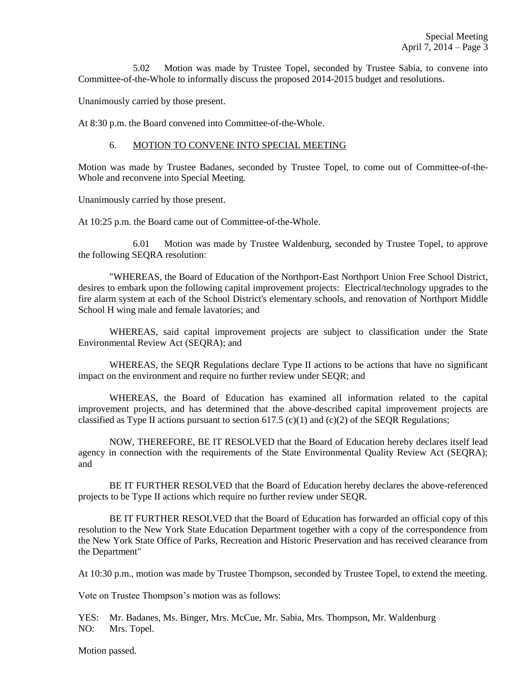5.02 Motion was made by Trustee Topel, seconded by Trustee Sabia, to convene into Committee-of-the-Whole to informally discuss the proposed 2014-2015 budget and resolutions.

Unanimously carried by those present.

At 8:30 p.m. the Board convened into Committee-of-the-Whole.

#### 6. MOTION TO CONVENE INTO SPECIAL MEETING

Motion was made by Trustee Badanes, seconded by Trustee Topel, to come out of Committee-of-the-Whole and reconvene into Special Meeting.

Unanimously carried by those present.

At 10:25 p.m. the Board came out of Committee-of-the-Whole.

6.01 Motion was made by Trustee Waldenburg, seconded by Trustee Topel, to approve the following SEQRA resolution:

"WHEREAS, the Board of Education of the Northport-East Northport Union Free School District, desires to embark upon the following capital improvement projects: Electrical/technology upgrades to the fire alarm system at each of the School District's elementary schools, and renovation of Northport Middle School H wing male and female lavatories; and

WHEREAS, said capital improvement projects are subject to classification under the State Environmental Review Act (SEQRA); and

WHEREAS, the SEQR Regulations declare Type II actions to be actions that have no significant impact on the environment and require no further review under SEQR; and

WHEREAS, the Board of Education has examined all information related to the capital improvement projects, and has determined that the above-described capital improvement projects are classified as Type II actions pursuant to section 617.5 (c)(1) and (c)(2) of the SEQR Regulations;

NOW, THEREFORE, BE IT RESOLVED that the Board of Education hereby declares itself lead agency in connection with the requirements of the State Environmental Quality Review Act (SEQRA); and

BE IT FURTHER RESOLVED that the Board of Education hereby declares the above-referenced projects to be Type II actions which require no further review under SEQR.

BE IT FURTHER RESOLVED that the Board of Education has forwarded an official copy of this resolution to the New York State Education Department together with a copy of the correspondence from the New York State Office of Parks, Recreation and Historic Preservation and has received clearance from the Department"

At 10:30 p.m., motion was made by Trustee Thompson, seconded by Trustee Topel, to extend the meeting.

Vote on Trustee Thompson's motion was as follows:

YES: Mr. Badanes, Ms. Binger, Mrs. McCue, Mr. Sabia, Mrs. Thompson, Mr. Waldenburg NO: Mrs. Topel.

Motion passed.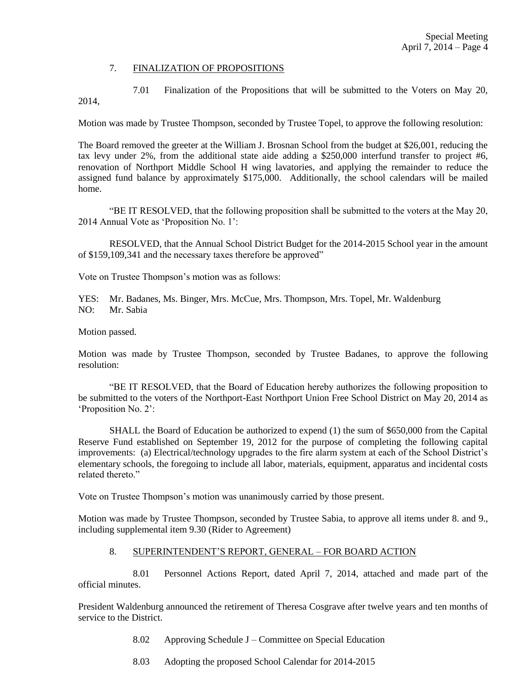#### 7. FINALIZATION OF PROPOSITIONS

7.01 Finalization of the Propositions that will be submitted to the Voters on May 20, 2014,

Motion was made by Trustee Thompson, seconded by Trustee Topel, to approve the following resolution:

The Board removed the greeter at the William J. Brosnan School from the budget at \$26,001, reducing the tax levy under 2%, from the additional state aide adding a \$250,000 interfund transfer to project #6, renovation of Northport Middle School H wing lavatories, and applying the remainder to reduce the assigned fund balance by approximately \$175,000. Additionally, the school calendars will be mailed home.

"BE IT RESOLVED, that the following proposition shall be submitted to the voters at the May 20, 2014 Annual Vote as 'Proposition No. 1':

RESOLVED, that the Annual School District Budget for the 2014-2015 School year in the amount of \$159,109,341 and the necessary taxes therefore be approved"

Vote on Trustee Thompson's motion was as follows:

YES: Mr. Badanes, Ms. Binger, Mrs. McCue, Mrs. Thompson, Mrs. Topel, Mr. Waldenburg NO: Mr. Sabia

Motion passed.

Motion was made by Trustee Thompson, seconded by Trustee Badanes, to approve the following resolution:

"BE IT RESOLVED, that the Board of Education hereby authorizes the following proposition to be submitted to the voters of the Northport-East Northport Union Free School District on May 20, 2014 as 'Proposition No. 2':

SHALL the Board of Education be authorized to expend (1) the sum of \$650,000 from the Capital Reserve Fund established on September 19, 2012 for the purpose of completing the following capital improvements: (a) Electrical/technology upgrades to the fire alarm system at each of the School District's elementary schools, the foregoing to include all labor, materials, equipment, apparatus and incidental costs related thereto."

Vote on Trustee Thompson's motion was unanimously carried by those present.

Motion was made by Trustee Thompson, seconded by Trustee Sabia, to approve all items under 8. and 9., including supplemental item 9.30 (Rider to Agreement)

## 8. SUPERINTENDENT'S REPORT, GENERAL – FOR BOARD ACTION

8.01 Personnel Actions Report, dated April 7, 2014, attached and made part of the official minutes.

President Waldenburg announced the retirement of Theresa Cosgrave after twelve years and ten months of service to the District.

- 8.02 Approving Schedule J Committee on Special Education
- 8.03 Adopting the proposed School Calendar for 2014-2015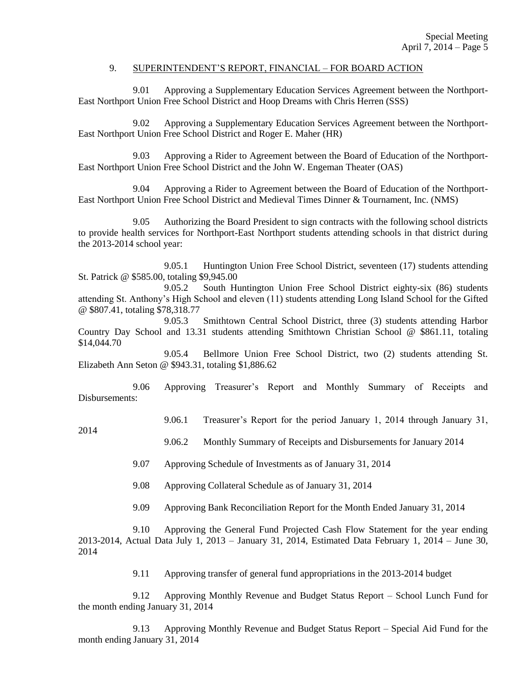#### 9. SUPERINTENDENT'S REPORT, FINANCIAL – FOR BOARD ACTION

9.01 Approving a Supplementary Education Services Agreement between the Northport-East Northport Union Free School District and Hoop Dreams with Chris Herren (SSS)

9.02 Approving a Supplementary Education Services Agreement between the Northport-East Northport Union Free School District and Roger E. Maher (HR)

9.03 Approving a Rider to Agreement between the Board of Education of the Northport-East Northport Union Free School District and the John W. Engeman Theater (OAS)

9.04 Approving a Rider to Agreement between the Board of Education of the Northport-East Northport Union Free School District and Medieval Times Dinner & Tournament, Inc. (NMS)

9.05 Authorizing the Board President to sign contracts with the following school districts to provide health services for Northport-East Northport students attending schools in that district during the 2013-2014 school year:

9.05.1 Huntington Union Free School District, seventeen (17) students attending St. Patrick @ \$585.00, totaling \$9,945.00

9.05.2 South Huntington Union Free School District eighty-six (86) students attending St. Anthony's High School and eleven (11) students attending Long Island School for the Gifted @ \$807.41, totaling \$78,318.77

9.05.3 Smithtown Central School District, three (3) students attending Harbor Country Day School and 13.31 students attending Smithtown Christian School @ \$861.11, totaling \$14,044.70

9.05.4 Bellmore Union Free School District, two (2) students attending St. Elizabeth Ann Seton @ \$943.31, totaling \$1,886.62

9.06 Approving Treasurer's Report and Monthly Summary of Receipts and Disbursements:

9.06.1 Treasurer's Report for the period January 1, 2014 through January 31,

2014

9.06.2 Monthly Summary of Receipts and Disbursements for January 2014

9.07 Approving Schedule of Investments as of January 31, 2014

9.08 Approving Collateral Schedule as of January 31, 2014

9.09 Approving Bank Reconciliation Report for the Month Ended January 31, 2014

9.10 Approving the General Fund Projected Cash Flow Statement for the year ending 2013-2014, Actual Data July 1, 2013 – January 31, 2014, Estimated Data February 1, 2014 – June 30, 2014

9.11 Approving transfer of general fund appropriations in the 2013-2014 budget

9.12 Approving Monthly Revenue and Budget Status Report – School Lunch Fund for the month ending January 31, 2014

9.13 Approving Monthly Revenue and Budget Status Report – Special Aid Fund for the month ending January 31, 2014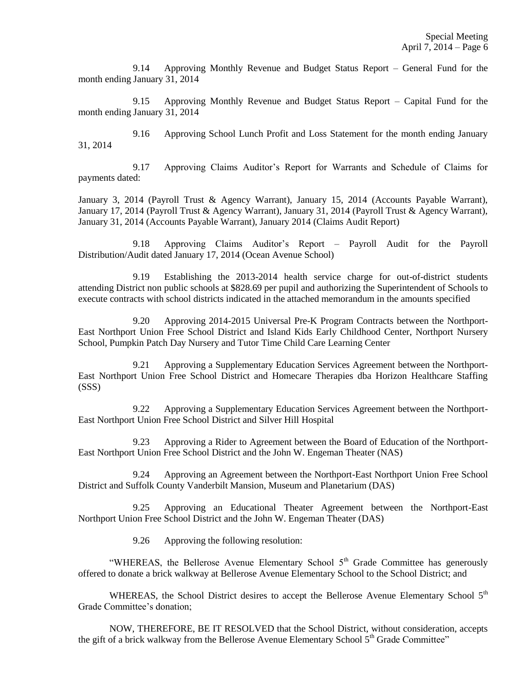9.14 Approving Monthly Revenue and Budget Status Report – General Fund for the month ending January 31, 2014

9.15 Approving Monthly Revenue and Budget Status Report – Capital Fund for the month ending January 31, 2014

9.16 Approving School Lunch Profit and Loss Statement for the month ending January 31, 2014

9.17 Approving Claims Auditor's Report for Warrants and Schedule of Claims for payments dated:

January 3, 2014 (Payroll Trust & Agency Warrant), January 15, 2014 (Accounts Payable Warrant), January 17, 2014 (Payroll Trust & Agency Warrant), January 31, 2014 (Payroll Trust & Agency Warrant), January 31, 2014 (Accounts Payable Warrant), January 2014 (Claims Audit Report)

9.18 Approving Claims Auditor's Report – Payroll Audit for the Payroll Distribution/Audit dated January 17, 2014 (Ocean Avenue School)

9.19 Establishing the 2013-2014 health service charge for out-of-district students attending District non public schools at \$828.69 per pupil and authorizing the Superintendent of Schools to execute contracts with school districts indicated in the attached memorandum in the amounts specified

9.20 Approving 2014-2015 Universal Pre-K Program Contracts between the Northport-East Northport Union Free School District and Island Kids Early Childhood Center, Northport Nursery School, Pumpkin Patch Day Nursery and Tutor Time Child Care Learning Center

9.21 Approving a Supplementary Education Services Agreement between the Northport-East Northport Union Free School District and Homecare Therapies dba Horizon Healthcare Staffing (SSS)

9.22 Approving a Supplementary Education Services Agreement between the Northport-East Northport Union Free School District and Silver Hill Hospital

9.23 Approving a Rider to Agreement between the Board of Education of the Northport-East Northport Union Free School District and the John W. Engeman Theater (NAS)

9.24 Approving an Agreement between the Northport-East Northport Union Free School District and Suffolk County Vanderbilt Mansion, Museum and Planetarium (DAS)

9.25 Approving an Educational Theater Agreement between the Northport-East Northport Union Free School District and the John W. Engeman Theater (DAS)

9.26 Approving the following resolution:

"WHEREAS, the Bellerose Avenue Elementary School  $5<sup>th</sup>$  Grade Committee has generously offered to donate a brick walkway at Bellerose Avenue Elementary School to the School District; and

WHEREAS, the School District desires to accept the Bellerose Avenue Elementary School 5<sup>th</sup> Grade Committee's donation;

NOW, THEREFORE, BE IT RESOLVED that the School District, without consideration, accepts the gift of a brick walkway from the Bellerose Avenue Elementary School 5<sup>th</sup> Grade Committee"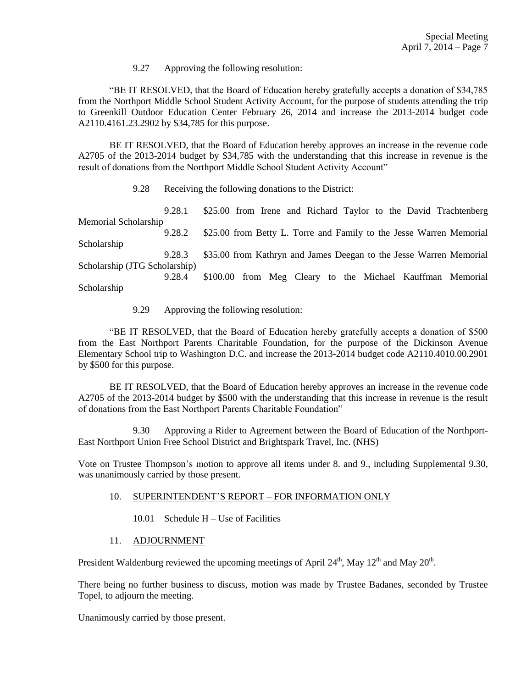9.27 Approving the following resolution:

"BE IT RESOLVED, that the Board of Education hereby gratefully accepts a donation of \$34,785 from the Northport Middle School Student Activity Account, for the purpose of students attending the trip to Greenkill Outdoor Education Center February 26, 2014 and increase the 2013-2014 budget code A2110.4161.23.2902 by \$34,785 for this purpose.

BE IT RESOLVED, that the Board of Education hereby approves an increase in the revenue code A2705 of the 2013-2014 budget by \$34,785 with the understanding that this increase in revenue is the result of donations from the Northport Middle School Student Activity Account"

9.28 Receiving the following donations to the District:

9.28.1 \$25.00 from Irene and Richard Taylor to the David Trachtenberg Memorial Scholarship 9.28.2 \$25.00 from Betty L. Torre and Family to the Jesse Warren Memorial Scholarship 9.28.3 \$35.00 from Kathryn and James Deegan to the Jesse Warren Memorial Scholarship (JTG Scholarship) 9.28.4 \$100.00 from Meg Cleary to the Michael Kauffman Memorial Scholarship

9.29 Approving the following resolution:

"BE IT RESOLVED, that the Board of Education hereby gratefully accepts a donation of \$500 from the East Northport Parents Charitable Foundation, for the purpose of the Dickinson Avenue Elementary School trip to Washington D.C. and increase the 2013-2014 budget code A2110.4010.00.2901 by \$500 for this purpose.

BE IT RESOLVED, that the Board of Education hereby approves an increase in the revenue code A2705 of the 2013-2014 budget by \$500 with the understanding that this increase in revenue is the result of donations from the East Northport Parents Charitable Foundation"

9.30 Approving a Rider to Agreement between the Board of Education of the Northport-East Northport Union Free School District and Brightspark Travel, Inc. (NHS)

Vote on Trustee Thompson's motion to approve all items under 8. and 9., including Supplemental 9.30, was unanimously carried by those present.

# 10. SUPERINTENDENT'S REPORT – FOR INFORMATION ONLY

10.01 Schedule H – Use of Facilities

## 11. ADJOURNMENT

President Waldenburg reviewed the upcoming meetings of April 24<sup>th</sup>, May 12<sup>th</sup> and May 20<sup>th</sup>.

There being no further business to discuss, motion was made by Trustee Badanes, seconded by Trustee Topel, to adjourn the meeting.

Unanimously carried by those present.